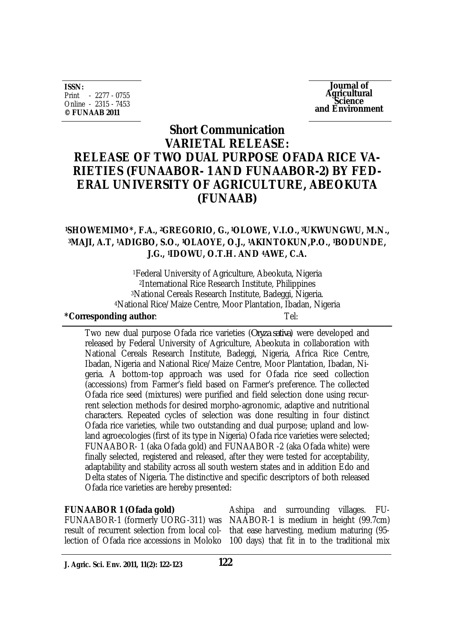**ISSN:** Print - 2277 - 0755 Online - 2315 - 7453 **© FUNAAB 2011**

**Journal of Agricultural Science and Environment**

# **Short Communication VARIETAL RELEASE: RELEASE OF TWO DUAL PURPOSE OFADA RICE VA-RIETIES (FUNAABOR- 1 AND FUNAABOR-2) BY FED-ERAL UNIVERSITY OF AGRICULTURE, ABEOKUTA (FUNAAB)**

## **<sup>1</sup>SHOWEMIMO\*, F.A., 2GREGORIO, G., <sup>1</sup>OLOWE, V.I.O., <sup>3</sup>UKWUNGWU, M.N., <sup>3</sup>MAJI, A.T, 1ADIGBO, S.O., 1OLAOYE, O.J., 1AKINTOKUN,P.O., 1BODUNDE, J.G., 1IDOWU, O.T.H. AND 4AWE, C.A.**

Federal University of Agriculture, Abeokuta, Nigeria International Rice Research Institute, Philippines National Cereals Research Institute, Badeggi, Nigeria. National Rice/Maize Centre, Moor Plantation, Ibadan, Nigeria

### **\*Corresponding author**: Tel: Two new dual purpose Ofada rice varieties (*Oryza sativa*) were developed and released by Federal University of Agriculture, Abeokuta in collaboration with National Cereals Research Institute, Badeggi, Nigeria, Africa Rice Centre, Ibadan, Nigeria and National Rice/Maize Centre, Moor Plantation, Ibadan, Nigeria. A bottom-top approach was used for Ofada rice seed collection (accessions) from Farmer's field based on Farmer's preference. The collected Ofada rice seed (mixtures) were purified and field selection done using recurrent selection methods for desired morpho-agronomic, adaptive and nutritional characters. Repeated cycles of selection was done resulting in four distinct Ofada rice varieties, while two outstanding and dual purpose; upland and lowland agroecologies (first of its type in Nigeria) Ofada rice varieties were selected; FUNAABOR- 1 (aka Ofada gold) and FUNAABOR -2 (aka Ofada white) were finally selected, registered and released, after they were tested for acceptability, adaptability and stability across all south western states and in addition Edo and Delta states of Nigeria. The distinctive and specific descriptors of both released Ofada rice varieties are hereby presented:

# **FUNAABOR 1 (Ofada gold)** result of recurrent selection from local col-

Ashipa and surrounding villages. FU-FUNAABOR-1 (formerly UORG-311) was NAABOR-1 is medium in height (99.7cm) that ease harvesting, medium maturing (95 lection of Ofada rice accessions in Moloko 100 days) that fit in to the traditional mix

**J. Agric. Sci. Env. 2011, 11(2): 122-123**